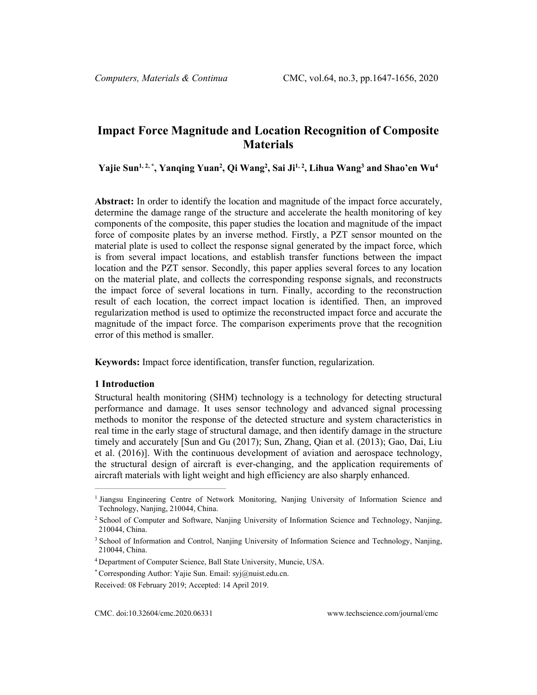# **Impact Force Magnitude and Location Recognition of Composite Materials**

**Yajie Sun1, 2, \*, Yanqing Yuan2 , Qi Wang2 , Sai Ji1, 2, Lihua Wang3 and Shao'en Wu4**

**Abstract:** In order to identify the location and magnitude of the impact force accurately, determine the damage range of the structure and accelerate the health monitoring of key components of the composite, this paper studies the location and magnitude of the impact force of composite plates by an inverse method. Firstly, a PZT sensor mounted on the material plate is used to collect the response signal generated by the impact force, which is from several impact locations, and establish transfer functions between the impact location and the PZT sensor. Secondly, this paper applies several forces to any location on the material plate, and collects the corresponding response signals, and reconstructs the impact force of several locations in turn. Finally, according to the reconstruction result of each location, the correct impact location is identified. Then, an improved regularization method is used to optimize the reconstructed impact force and accurate the magnitude of the impact force. The comparison experiments prove that the recognition error of this method is smaller.

**Keywords:** Impact force identification, transfer function, regularization.

## **1 Introduction**

Structural health monitoring (SHM) technology is a technology for detecting structural performance and damage. It uses sensor technology and advanced signal processing methods to monitor the response of the detected structure and system characteristics in real time in the early stage of structural damage, and then identify damage in the structure timely and accurately [Sun and Gu (2017); Sun, Zhang, Qian et al. (2013); Gao, Dai, Liu et al. (2016)]. With the continuous development of aviation and aerospace technology, the structural design of aircraft is ever-changing, and the application requirements of aircraft materials with light weight and high efficiency are also sharply enhanced.

CMC. doi:10.32604/cmc.2020.06331 www.techscience.com/journal/cmc

 $\mathcal{L}_\text{max} = \mathcal{L}_\text{max} = \mathcal{L}_\text{max} = \mathcal{L}_\text{max} = \mathcal{L}_\text{max} = \mathcal{L}_\text{max} = \mathcal{L}_\text{max}$ 

<sup>1</sup> Jiangsu Engineering Centre of Network Monitoring, Nanjing University of Information Science and Technology, Nanjing, 210044, China.

<sup>2</sup> School of Computer and Software, Nanjing University of Information Science and Technology, Nanjing, 210044, China.

<sup>&</sup>lt;sup>3</sup> School of Information and Control, Nanjing University of Information Science and Technology, Nanjing, 210044, China.

<sup>4</sup> Department of Computer Science, Ball State University, Muncie, USA.

<sup>\*</sup> Corresponding Author: Yajie Sun. Email: syj@nuist.edu.cn.

Received: 08 February 2019; Accepted: 14 April 2019.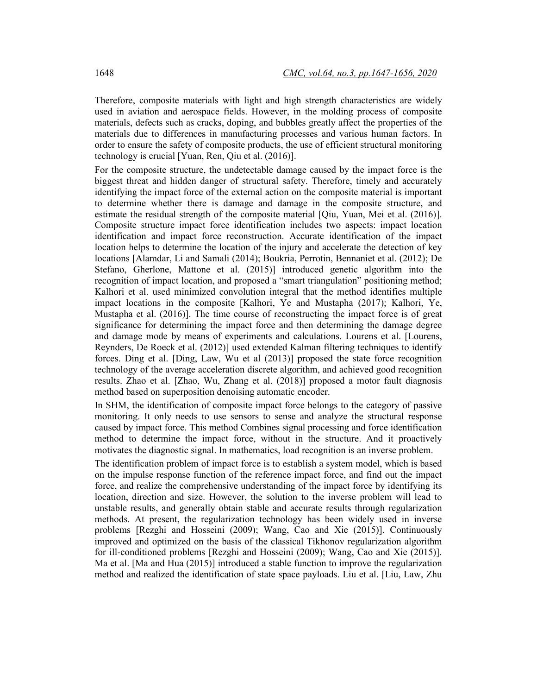Therefore, composite materials with light and high strength characteristics are widely used in aviation and aerospace fields. However, in the molding process of composite materials, defects such as cracks, doping, and bubbles greatly affect the properties of the materials due to differences in manufacturing processes and various human factors. In order to ensure the safety of composite products, the use of efficient structural monitoring technology is crucial [Yuan, Ren, Qiu et al. (2016)].

For the composite structure, the undetectable damage caused by the impact force is the biggest threat and hidden danger of structural safety. Therefore, timely and accurately identifying the impact force of the external action on the composite material is important to determine whether there is damage and damage in the composite structure, and estimate the residual strength of the composite material [Qiu, Yuan, Mei et al. (2016)]. Composite structure impact force identification includes two aspects: impact location identification and impact force reconstruction. Accurate identification of the impact location helps to determine the location of the injury and accelerate the detection of key locations [Alamdar, Li and Samali (2014); Boukria, Perrotin, Bennaniet et al. (2012); De Stefano, Gherlone, Mattone et al. (2015)] introduced genetic algorithm into the recognition of impact location, and proposed a "smart triangulation" positioning method; Kalhori et al. used minimized convolution integral that the method identifies multiple impact locations in the composite [Kalhori, Ye and Mustapha (2017); Kalhori, Ye, Mustapha et al. (2016)]. The time course of reconstructing the impact force is of great significance for determining the impact force and then determining the damage degree and damage mode by means of experiments and calculations. Lourens et al. [Lourens, Reynders, De Roeck et al. (2012)] used extended Kalman filtering techniques to identify forces. Ding et al. [Ding, Law, Wu et al (2013)] proposed the state force recognition technology of the average acceleration discrete algorithm, and achieved good recognition results. Zhao et al. [Zhao, Wu, Zhang et al. (2018)] proposed a motor fault diagnosis method based on superposition denoising automatic encoder.

In SHM, the identification of composite impact force belongs to the category of passive monitoring. It only needs to use sensors to sense and analyze the structural response caused by impact force. This method Combines signal processing and force identification method to determine the impact force, without in the structure. And it proactively motivates the diagnostic signal. In mathematics, load recognition is an inverse problem.

The identification problem of impact force is to establish a system model, which is based on the impulse response function of the reference impact force, and find out the impact force, and realize the comprehensive understanding of the impact force by identifying its location, direction and size. However, the solution to the inverse problem will lead to unstable results, and generally obtain stable and accurate results through regularization methods. At present, the regularization technology has been widely used in inverse problems [Rezghi and Hosseini (2009); Wang, Cao and Xie (2015)]. Continuously improved and optimized on the basis of the classical Tikhonov regularization algorithm for ill-conditioned problems [Rezghi and Hosseini (2009); Wang, Cao and Xie (2015)]. Ma et al. [Ma and Hua (2015)] introduced a stable function to improve the regularization method and realized the identification of state space payloads. Liu et al. [Liu, Law, Zhu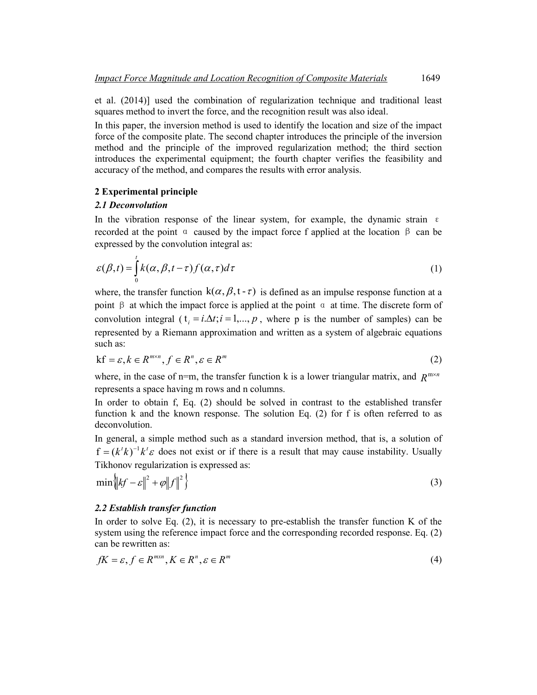et al. (2014)] used the combination of regularization technique and traditional least squares method to invert the force, and the recognition result was also ideal.

In this paper, the inversion method is used to identify the location and size of the impact force of the composite plate. The second chapter introduces the principle of the inversion method and the principle of the improved regularization method; the third section introduces the experimental equipment; the fourth chapter verifies the feasibility and accuracy of the method, and compares the results with error analysis.

## **2 Experimental principle**

## *2.1 Deconvolution*

In the vibration response of the linear system, for example, the dynamic strain  $\epsilon$ recorded at the point  $\alpha$  caused by the impact force f applied at the location  $\beta$  can be expressed by the convolution integral as:

$$
\varepsilon(\beta, t) = \int_{0}^{t} k(\alpha, \beta, t - \tau) f(\alpha, \tau) d\tau
$$
 (1)

where, the transfer function  $k(\alpha, \beta, t - \tau)$  is defined as an impulse response function at a point β at which the impact force is applied at the point  $\alpha$  at time. The discrete form of convolution integral ( $t_i = i.\Delta t; i = 1,..., p$ , where p is the number of samples) can be represented by a Riemann approximation and written as a system of algebraic equations such as:

$$
\mathbf{k}\mathbf{f} = \varepsilon, k \in \mathbb{R}^{m \times n}, f \in \mathbb{R}^n, \varepsilon \in \mathbb{R}^m
$$
 (2)

where, in the case of n=m, the transfer function k is a lower triangular matrix, and  $R^{m \times n}$ represents a space having m rows and n columns.

In order to obtain f, Eq. (2) should be solved in contrast to the established transfer function k and the known response. The solution Eq. (2) for f is often referred to as deconvolution.

In general, a simple method such as a standard inversion method, that is, a solution of  $f = (k^t k)^{-1} k^t \varepsilon$  does not exist or if there is a result that may cause instability. Usually Tikhonov regularization is expressed as:

$$
\min\left\{ \left| \xi f - \varepsilon \right\|^2 + \varphi \left\| f \right\|^2 \right\} \tag{3}
$$

## *2.2 Establish transfer function*

In order to solve Eq.  $(2)$ , it is necessary to pre-establish the transfer function K of the system using the reference impact force and the corresponding recorded response. Eq. (2) can be rewritten as:

$$
fK = \varepsilon, f \in R^{m \times n}, K \in R^n, \varepsilon \in R^m
$$
\n<sup>(4)</sup>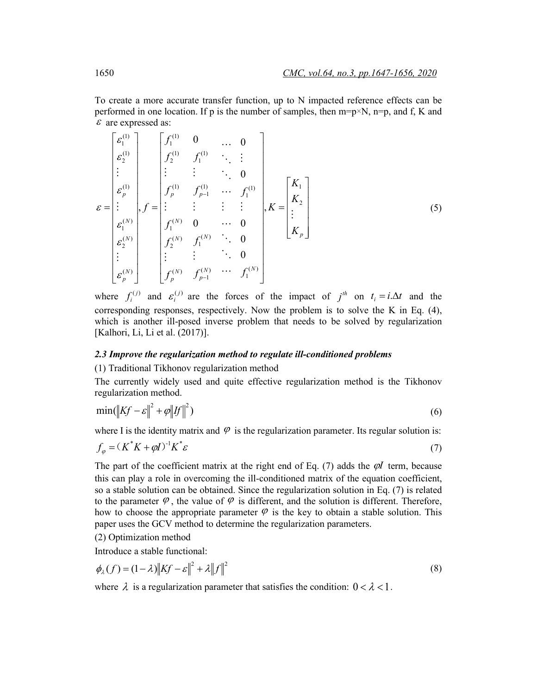To create a more accurate transfer function, up to N impacted reference effects can be performed in one location. If p is the number of samples, then  $m=p\times N$ ,  $n=p$ , and f, K and  $\varepsilon$  are expressed as:

$$
\varepsilon = \begin{bmatrix} \varepsilon_1^{(1)} \\ \varepsilon_2^{(1)} \\ \vdots \\ \varepsilon_p^{(1)} \\ \varepsilon_p^{(1)} \\ \vdots \\ \varepsilon_p^{(N)} \\ \vdots \\ \varepsilon_p^{(N)} \end{bmatrix}, f = \begin{bmatrix} f_1^{(1)} & 0 & \dots & 0 \\ f_2^{(1)} & f_1^{(1)} & \ddots & \vdots \\ \vdots & \vdots & \ddots & 0 \\ f_p^{(1)} & f_{p-1}^{(1)} & \dots & f_1^{(1)} \\ \vdots & \vdots & \vdots & \vdots \\ f_1^{(N)} & 0 & \dots & 0 \\ f_2^{(N)} & f_1^{(N)} & \ddots & 0 \\ \vdots & \vdots & \ddots & 0 \\ f_p^{(N)} & f_{p-1}^{(N)} & \dots & f_1^{(N)} \end{bmatrix}, K = \begin{bmatrix} K_1 \\ K_2 \\ \vdots \\ K_p \end{bmatrix}
$$
(5)

where  $f_i^{(j)}$  and  $\epsilon_i^{(j)}$  are the forces of the impact of  $j^{th}$  on  $t_i = i.\Delta t$  and the corresponding responses, respectively. Now the problem is to solve the K in Eq. (4), which is another ill-posed inverse problem that needs to be solved by regularization [Kalhori, Li, Li et al. (2017)].

## *2.3 Improve the regularization method to regulate ill-conditioned problems*

(1) Traditional Tikhonov regularization method

The currently widely used and quite effective regularization method is the Tikhonov regularization method.

$$
\min(\left\|Kf - \varepsilon\right\|^2 + \varphi \left\|F\right\|^2) \tag{6}
$$

where I is the identity matrix and  $\varphi$  is the regularization parameter. Its regular solution is:

$$
f_{\varphi} = (K^*K + \varphi I)^{-1}K^*\varepsilon \tag{7}
$$

The part of the coefficient matrix at the right end of Eq. (7) adds the  $\varphi I$  term, because this can play a role in overcoming the ill-conditioned matrix of the equation coefficient, so a stable solution can be obtained. Since the regularization solution in Eq. (7) is related to the parameter  $\varphi$ , the value of  $\varphi$  is different, and the solution is different. Therefore, how to choose the appropriate parameter  $\varphi$  is the key to obtain a stable solution. This paper uses the GCV method to determine the regularization parameters.

(2) Optimization method

Introduce a stable functional:

$$
\phi_{\lambda}(f) = (1 - \lambda) \left\| Kf - \varepsilon \right\|^2 + \lambda \left\| f \right\|^2 \tag{8}
$$

where  $\lambda$  is a regularization parameter that satisfies the condition:  $0 < \lambda < 1$ .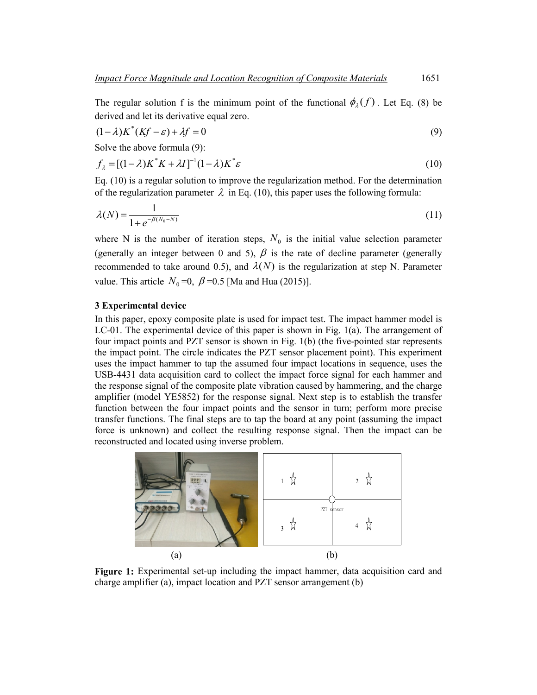The regular solution f is the minimum point of the functional  $\phi_{\lambda}(f)$ . Let Eq. (8) be derived and let its derivative equal zero.

$$
(1 - \lambda)K^*(Kf - \varepsilon) + \lambda f = 0
$$
\n(9)

Solve the above formula (9):

$$
f_{\lambda} = [(1 - \lambda)K^*K + \lambda I]^{-1}(1 - \lambda)K^*\varepsilon \tag{10}
$$

Eq. (10) is a regular solution to improve the regularization method. For the determination of the regularization parameter  $\lambda$  in Eq. (10), this paper uses the following formula:

$$
\lambda(N) = \frac{1}{1 + e^{-\beta(N_0 - N)}}
$$
\n(11)

where N is the number of iteration steps,  $N_0$  is the initial value selection parameter (generally an integer between 0 and 5),  $\beta$  is the rate of decline parameter (generally recommended to take around 0.5), and  $\lambda(N)$  is the regularization at step N. Parameter value. This article  $N_0 = 0$ ,  $\beta = 0.5$  [Ma and Hua (2015)].

## **3 Experimental device**

In this paper, epoxy composite plate is used for impact test. The impact hammer model is LC-01. The experimental device of this paper is shown in Fig. 1(a). The arrangement of four impact points and PZT sensor is shown in Fig. 1(b) (the five-pointed star represents the impact point. The circle indicates the PZT sensor placement point). This experiment uses the impact hammer to tap the assumed four impact locations in sequence, uses the USB-4431 data acquisition card to collect the impact force signal for each hammer and the response signal of the composite plate vibration caused by hammering, and the charge amplifier (model YE5852) for the response signal. Next step is to establish the transfer function between the four impact points and the sensor in turn; perform more precise transfer functions. The final steps are to tap the board at any point (assuming the impact force is unknown) and collect the resulting response signal. Then the impact can be reconstructed and located using inverse problem.



**Figure 1:** Experimental set-up including the impact hammer, data acquisition card and charge amplifier (a), impact location and PZT sensor arrangement (b)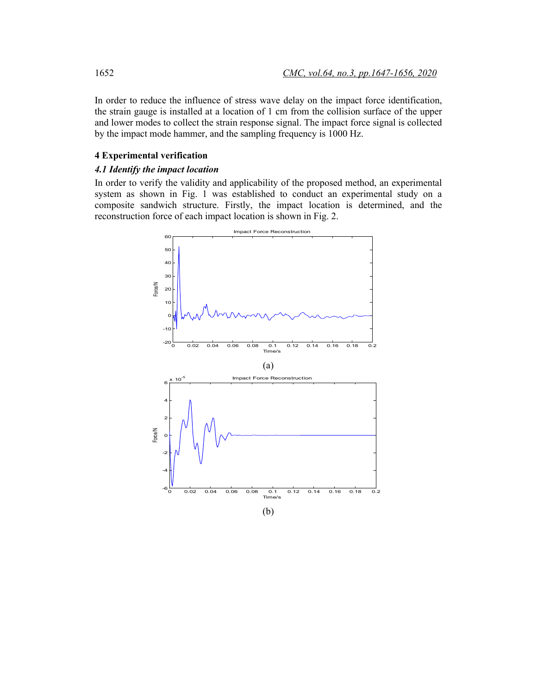In order to reduce the influence of stress wave delay on the impact force identification, the strain gauge is installed at a location of 1 cm from the collision surface of the upper and lower modes to collect the strain response signal. The impact force signal is collected by the impact mode hammer, and the sampling frequency is 1000 Hz.

## **4 Experimental verification**

## *4.1 Identify the impact location*

In order to verify the validity and applicability of the proposed method, an experimental system as shown in Fig. 1 was established to conduct an experimental study on a composite sandwich structure. Firstly, the impact location is determined, and the reconstruction force of each impact location is shown in Fig. 2.

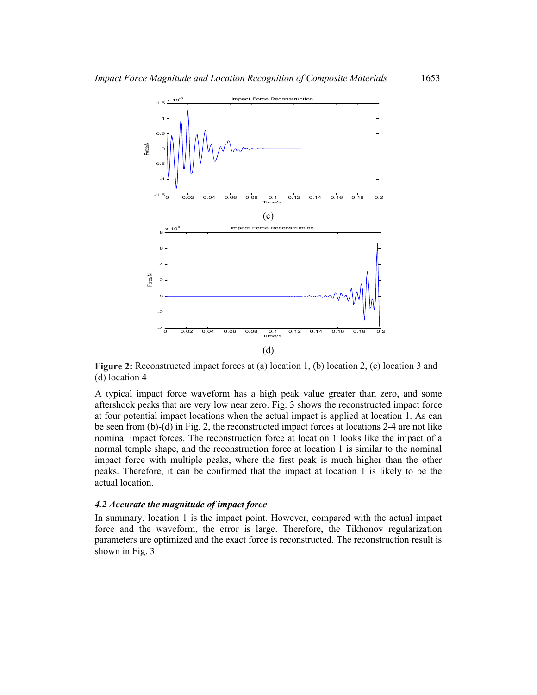

**Figure 2:** Reconstructed impact forces at (a) location 1, (b) location 2, (c) location 3 and (d) location 4

A typical impact force waveform has a high peak value greater than zero, and some aftershock peaks that are very low near zero. Fig. 3 shows the reconstructed impact force at four potential impact locations when the actual impact is applied at location 1. As can be seen from (b)-(d) in Fig. 2, the reconstructed impact forces at locations 2-4 are not like nominal impact forces. The reconstruction force at location 1 looks like the impact of a normal temple shape, and the reconstruction force at location 1 is similar to the nominal impact force with multiple peaks, where the first peak is much higher than the other peaks. Therefore, it can be confirmed that the impact at location 1 is likely to be the actual location.

### *4.2 Accurate the magnitude of impact force*

In summary, location 1 is the impact point. However, compared with the actual impact force and the waveform, the error is large. Therefore, the Tikhonov regularization parameters are optimized and the exact force is reconstructed. The reconstruction result is shown in Fig. 3.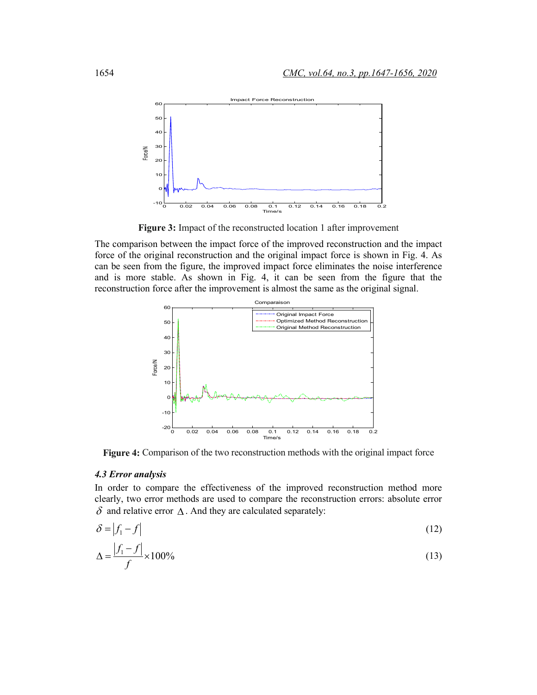

**Figure 3:** Impact of the reconstructed location 1 after improvement

The comparison between the impact force of the improved reconstruction and the impact force of the original reconstruction and the original impact force is shown in Fig. 4. As can be seen from the figure, the improved impact force eliminates the noise interference and is more stable. As shown in Fig. 4, it can be seen from the figure that the reconstruction force after the improvement is almost the same as the original signal.



**Figure 4:** Comparison of the two reconstruction methods with the original impact force

## *4.3 Error analysis*

In order to compare the effectiveness of the improved reconstruction method more clearly, two error methods are used to compare the reconstruction errors: absolute error  $\delta$  and relative error  $\Delta$ . And they are calculated separately:

$$
\delta = |f_1 - f| \tag{12}
$$

$$
\Delta = \frac{|f_1 - f|}{f} \times 100\% \tag{13}
$$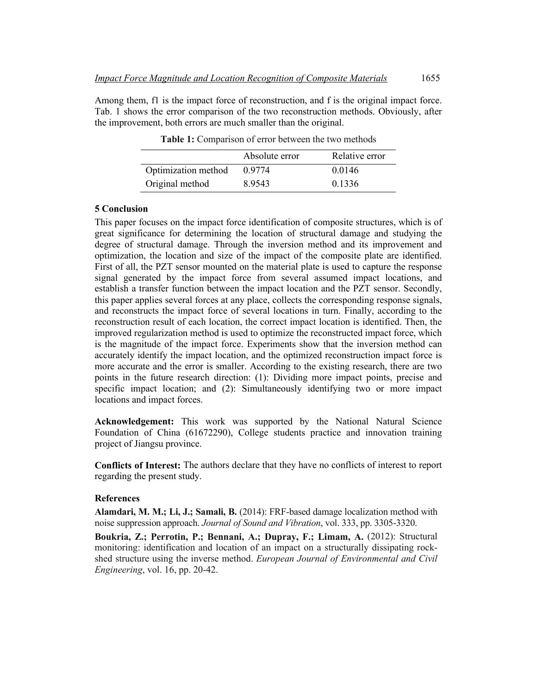Among them, f1 is the impact force of reconstruction, and f is the original impact force. Tab. 1 shows the error comparison of the two reconstruction methods. Obviously, after the improvement, both errors are much smaller than the original.

|                     | Absolute error | Relative error |
|---------------------|----------------|----------------|
| Optimization method | 0.9774         | 0.0146         |
| Original method     | 8.9543         | 0.1336         |

**Table 1:** Comparison of error between the two methods

#### **5 Conclusion**

This paper focuses on the impact force identification of composite structures, which is of great significance for determining the location of structural damage and studying the degree of structural damage. Through the inversion method and its improvement and optimization, the location and size of the impact of the composite plate are identified. First of all, the PZT sensor mounted on the material plate is used to capture the response signal generated by the impact force from several assumed impact locations, and establish a transfer function between the impact location and the PZT sensor. Secondly, this paper applies several forces at any place, collects the corresponding response signals, and reconstructs the impact force of several locations in turn. Finally, according to the reconstruction result of each location, the correct impact location is identified. Then, the improved regularization method is used to optimize the reconstructed impact force, which is the magnitude of the impact force. Experiments show that the inversion method can accurately identify the impact location, and the optimized reconstruction impact force is more accurate and the error is smaller. According to the existing research, there are two points in the future research direction: (1): Dividing more impact points, precise and specific impact location; and (2): Simultaneously identifying two or more impact locations and impact forces.

**Acknowledgement:** This work was supported by the National Natural Science Foundation of China (61672290), College students practice and innovation training project of Jiangsu province.

**Conflicts of Interest:** The authors declare that they have no conflicts of interest to report regarding the present study.

#### **References**

**Alamdari, M. M.; Li, J.; Samali, B.** (2014): FRF-based damage localization method with noise suppression approach. *Journal of Sound and Vibration*, vol. 333, pp. 3305-3320.

**Boukria, Z.; Perrotin, P.; Bennani, A.; Dupray, F.; Limam, A.** (2012): Structural monitoring: identification and location of an impact on a structurally dissipating rockshed structure using the inverse method. *European Journal of Environmental and Civil Engineering*, vol. 16, pp. 20-42.